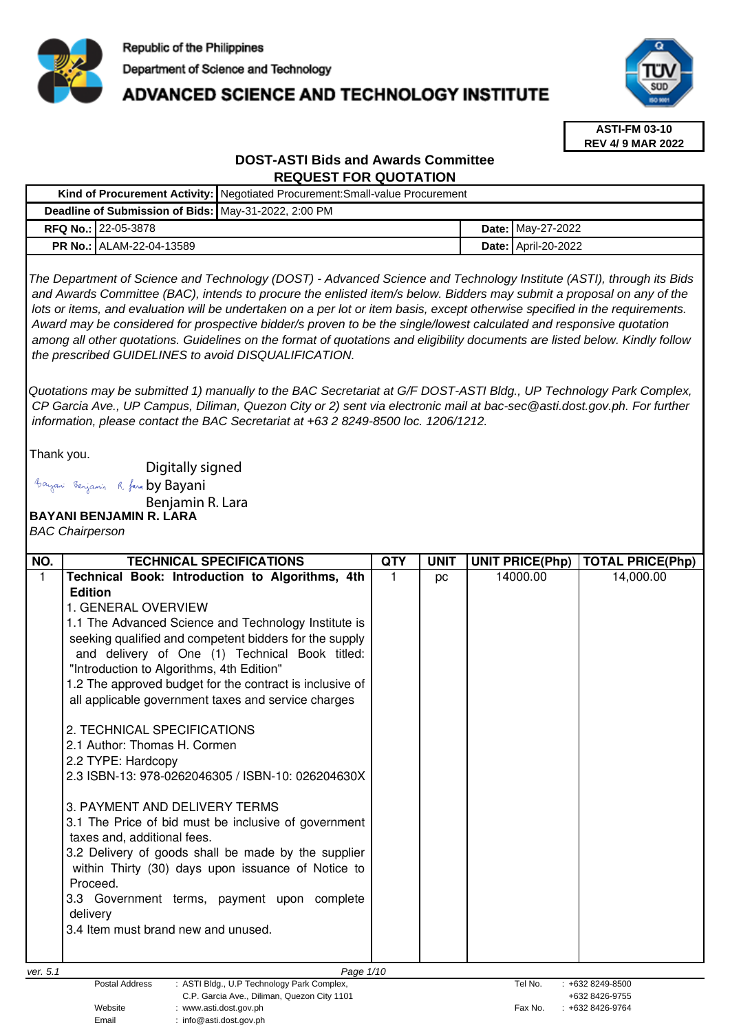

# **ADVANCED SCIENCE AND TECHNOLOGY INSTITUTE**



**ASTI-FM 03-10 REV 4/ 9 MAR 2022**

# **DOST-ASTI Bids and Awards Committee REQUEST FOR QUOTATION**

|                                                      | Kind of Procurement Activity: Negotiated Procurement: Small-value Procurement |                              |  |  |
|------------------------------------------------------|-------------------------------------------------------------------------------|------------------------------|--|--|
| Deadline of Submission of Bids: May-31-2022, 2:00 PM |                                                                               |                              |  |  |
| <b>RFQ No.: 22-05-3878</b>                           |                                                                               | <b>Date: May-27-2022</b>     |  |  |
| <b>PR No.: ALAM-22-04-13589</b>                      |                                                                               | <b>Date:   April-20-2022</b> |  |  |

The Department of Science and Technology (DOST) - Advanced Science and Technology Institute (ASTI), through its Bids and Awards Committee (BAC), intends to procure the enlisted item/s below. Bidders may submit a proposal on any of the lots or items, and evaluation will be undertaken on a per lot or item basis, except otherwise specified in the requirements. Award may be considered for prospective bidder/s proven to be the single/lowest calculated and responsive quotation among all other quotations. Guidelines on the format of quotations and eligibility documents are listed below. Kindly follow the prescribed GUIDELINES to avoid DISQUALIFICATION.

Quotations may be submitted 1) manually to the BAC Secretariat at G/F DOST-ASTI Bldg., UP Technology Park Complex, CP Garcia Ave., UP Campus, Diliman, Quezon City or 2) sent via electronic mail at bac-sec@asti.dost.gov.ph. For further information, please contact the BAC Secretariat at +63 2 8249-8500 loc. 1206/1212.

Thank you.

Digitally signed

Bayani Benjamin R. fara by Bayani

Benjamin R. Lara

**BAYANI BENJAMIN R. LARA** 

BAC Chairperson

| NO.      | <b>TECHNICAL SPECIFICATIONS</b>                                                                                                                                                                                                                                                                                                                                                                                                                                                                                                                                                                                                                                                                                                                                                                                                                                                    | QTY | <b>UNIT</b> | UNIT PRICE(Php) | <b>TOTAL PRICE(Php)</b> |
|----------|------------------------------------------------------------------------------------------------------------------------------------------------------------------------------------------------------------------------------------------------------------------------------------------------------------------------------------------------------------------------------------------------------------------------------------------------------------------------------------------------------------------------------------------------------------------------------------------------------------------------------------------------------------------------------------------------------------------------------------------------------------------------------------------------------------------------------------------------------------------------------------|-----|-------------|-----------------|-------------------------|
| 1        | Technical Book: Introduction to Algorithms, 4th<br><b>Edition</b><br>1. GENERAL OVERVIEW<br>1.1 The Advanced Science and Technology Institute is<br>seeking qualified and competent bidders for the supply<br>and delivery of One (1) Technical Book titled:<br>"Introduction to Algorithms, 4th Edition"<br>1.2 The approved budget for the contract is inclusive of<br>all applicable government taxes and service charges<br>2. TECHNICAL SPECIFICATIONS<br>2.1 Author: Thomas H. Cormen<br>2.2 TYPE: Hardcopy<br>2.3 ISBN-13: 978-0262046305 / ISBN-10: 026204630X<br>3. PAYMENT AND DELIVERY TERMS<br>3.1 The Price of bid must be inclusive of government<br>taxes and, additional fees.<br>3.2 Delivery of goods shall be made by the supplier<br>within Thirty (30) days upon issuance of Notice to<br>Proceed.<br>3.3 Government terms, payment upon complete<br>delivery |     | pc          | 14000.00        | 14,000.00               |
| ver. 5.1 | 3.4 Item must brand new and unused.<br>Page 1/10                                                                                                                                                                                                                                                                                                                                                                                                                                                                                                                                                                                                                                                                                                                                                                                                                                   |     |             |                 |                         |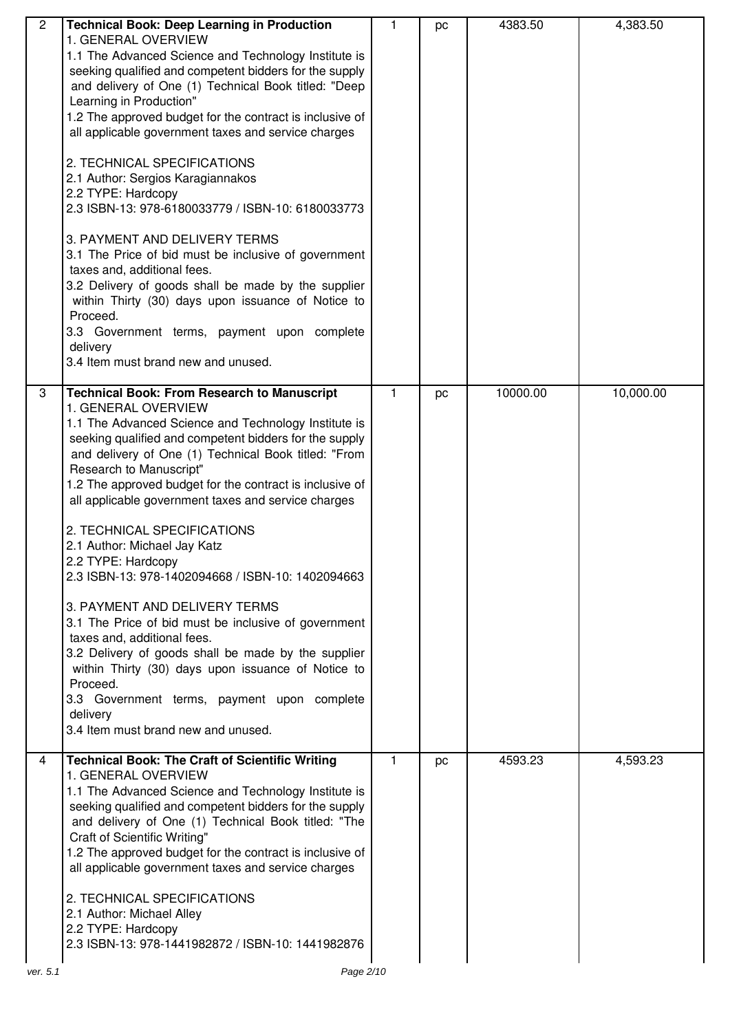| $\overline{2}$ | <b>Technical Book: Deep Learning in Production</b><br>1. GENERAL OVERVIEW<br>1.1 The Advanced Science and Technology Institute is<br>seeking qualified and competent bidders for the supply<br>and delivery of One (1) Technical Book titled: "Deep<br>Learning in Production"<br>1.2 The approved budget for the contract is inclusive of<br>all applicable government taxes and service charges<br>2. TECHNICAL SPECIFICATIONS<br>2.1 Author: Sergios Karagiannakos<br>2.2 TYPE: Hardcopy<br>2.3 ISBN-13: 978-6180033779 / ISBN-10: 6180033773<br>3. PAYMENT AND DELIVERY TERMS<br>3.1 The Price of bid must be inclusive of government<br>taxes and, additional fees.<br>3.2 Delivery of goods shall be made by the supplier<br>within Thirty (30) days upon issuance of Notice to<br>Proceed.<br>3.3 Government terms, payment upon complete<br>delivery<br>3.4 Item must brand new and unused. | 1. | pc | 4383.50  | 4,383.50  |
|----------------|-----------------------------------------------------------------------------------------------------------------------------------------------------------------------------------------------------------------------------------------------------------------------------------------------------------------------------------------------------------------------------------------------------------------------------------------------------------------------------------------------------------------------------------------------------------------------------------------------------------------------------------------------------------------------------------------------------------------------------------------------------------------------------------------------------------------------------------------------------------------------------------------------------|----|----|----------|-----------|
| 3              | <b>Technical Book: From Research to Manuscript</b><br>1. GENERAL OVERVIEW<br>1.1 The Advanced Science and Technology Institute is<br>seeking qualified and competent bidders for the supply<br>and delivery of One (1) Technical Book titled: "From<br>Research to Manuscript"<br>1.2 The approved budget for the contract is inclusive of<br>all applicable government taxes and service charges<br>2. TECHNICAL SPECIFICATIONS<br>2.1 Author: Michael Jay Katz<br>2.2 TYPE: Hardcopy<br>2.3 ISBN-13: 978-1402094668 / ISBN-10: 1402094663<br>3. PAYMENT AND DELIVERY TERMS<br>3.1 The Price of bid must be inclusive of government<br>taxes and, additional fees.<br>3.2 Delivery of goods shall be made by the supplier<br>within Thirty (30) days upon issuance of Notice to<br>Proceed.<br>3.3 Government terms, payment upon complete<br>delivery<br>3.4 Item must brand new and unused.      | 1. | pc | 10000.00 | 10,000.00 |
| 4              | <b>Technical Book: The Craft of Scientific Writing</b><br>1. GENERAL OVERVIEW<br>1.1 The Advanced Science and Technology Institute is<br>seeking qualified and competent bidders for the supply<br>and delivery of One (1) Technical Book titled: "The<br>Craft of Scientific Writing"<br>1.2 The approved budget for the contract is inclusive of<br>all applicable government taxes and service charges<br>2. TECHNICAL SPECIFICATIONS<br>2.1 Author: Michael Alley<br>2.2 TYPE: Hardcopy<br>2.3 ISBN-13: 978-1441982872 / ISBN-10: 1441982876                                                                                                                                                                                                                                                                                                                                                    | 1. | pc | 4593.23  | 4,593.23  |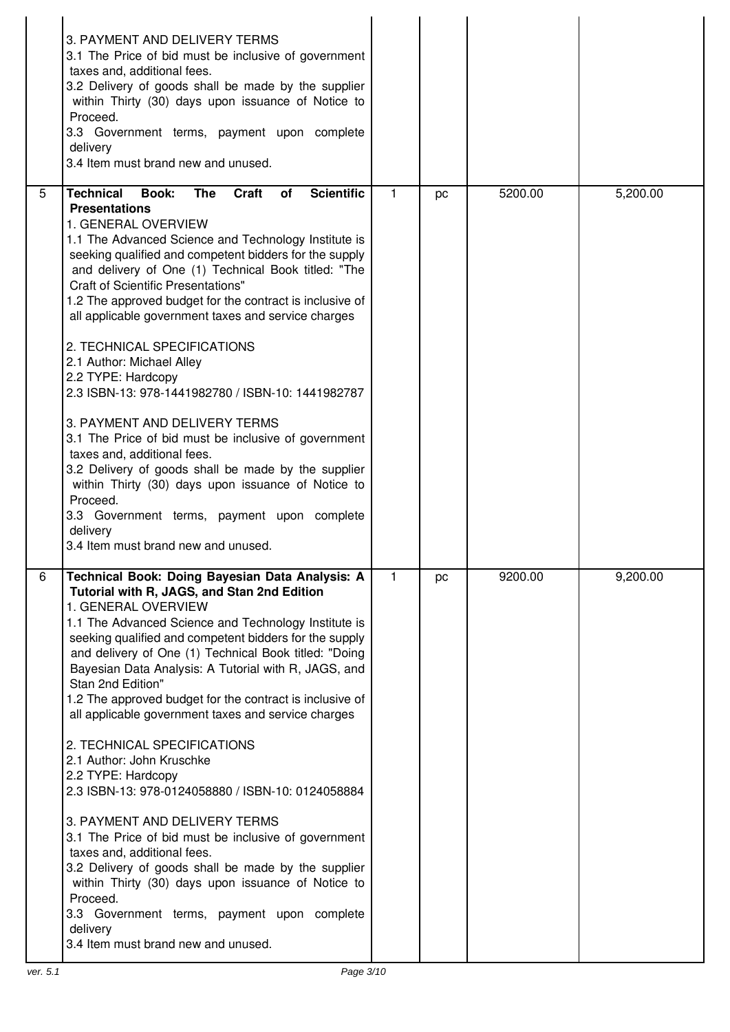|   | 3. PAYMENT AND DELIVERY TERMS<br>3.1 The Price of bid must be inclusive of government<br>taxes and, additional fees.<br>3.2 Delivery of goods shall be made by the supplier<br>within Thirty (30) days upon issuance of Notice to<br>Proceed.<br>3.3 Government terms, payment upon complete<br>delivery<br>3.4 Item must brand new and unused.                                                                                                                                                                                                                                                                                                                                                                                                                                                                                                                                                                                                                                            |              |    |         |          |
|---|--------------------------------------------------------------------------------------------------------------------------------------------------------------------------------------------------------------------------------------------------------------------------------------------------------------------------------------------------------------------------------------------------------------------------------------------------------------------------------------------------------------------------------------------------------------------------------------------------------------------------------------------------------------------------------------------------------------------------------------------------------------------------------------------------------------------------------------------------------------------------------------------------------------------------------------------------------------------------------------------|--------------|----|---------|----------|
| 5 | <b>Scientific</b><br>Book:<br><b>The</b><br>Craft<br><b>Technical</b><br>of<br><b>Presentations</b><br>1. GENERAL OVERVIEW<br>1.1 The Advanced Science and Technology Institute is<br>seeking qualified and competent bidders for the supply<br>and delivery of One (1) Technical Book titled: "The<br><b>Craft of Scientific Presentations"</b><br>1.2 The approved budget for the contract is inclusive of<br>all applicable government taxes and service charges<br>2. TECHNICAL SPECIFICATIONS<br>2.1 Author: Michael Alley<br>2.2 TYPE: Hardcopy<br>2.3 ISBN-13: 978-1441982780 / ISBN-10: 1441982787<br>3. PAYMENT AND DELIVERY TERMS<br>3.1 The Price of bid must be inclusive of government<br>taxes and, additional fees.<br>3.2 Delivery of goods shall be made by the supplier<br>within Thirty (30) days upon issuance of Notice to<br>Proceed.<br>3.3 Government terms, payment upon complete                                                                                 | $\mathbf{1}$ | pc | 5200.00 | 5,200.00 |
|   | delivery<br>3.4 Item must brand new and unused.                                                                                                                                                                                                                                                                                                                                                                                                                                                                                                                                                                                                                                                                                                                                                                                                                                                                                                                                            |              |    |         |          |
| 6 | Technical Book: Doing Bayesian Data Analysis: A<br>Tutorial with R, JAGS, and Stan 2nd Edition<br>1. GENERAL OVERVIEW<br>1.1 The Advanced Science and Technology Institute is<br>seeking qualified and competent bidders for the supply<br>and delivery of One (1) Technical Book titled: "Doing<br>Bayesian Data Analysis: A Tutorial with R, JAGS, and<br>Stan 2nd Edition"<br>1.2 The approved budget for the contract is inclusive of<br>all applicable government taxes and service charges<br>2. TECHNICAL SPECIFICATIONS<br>2.1 Author: John Kruschke<br>2.2 TYPE: Hardcopy<br>2.3 ISBN-13: 978-0124058880 / ISBN-10: 0124058884<br>3. PAYMENT AND DELIVERY TERMS<br>3.1 The Price of bid must be inclusive of government<br>taxes and, additional fees.<br>3.2 Delivery of goods shall be made by the supplier<br>within Thirty (30) days upon issuance of Notice to<br>Proceed.<br>3.3 Government terms, payment upon complete<br>delivery<br>3.4 Item must brand new and unused. | $\mathbf 1$  | pc | 9200.00 | 9,200.00 |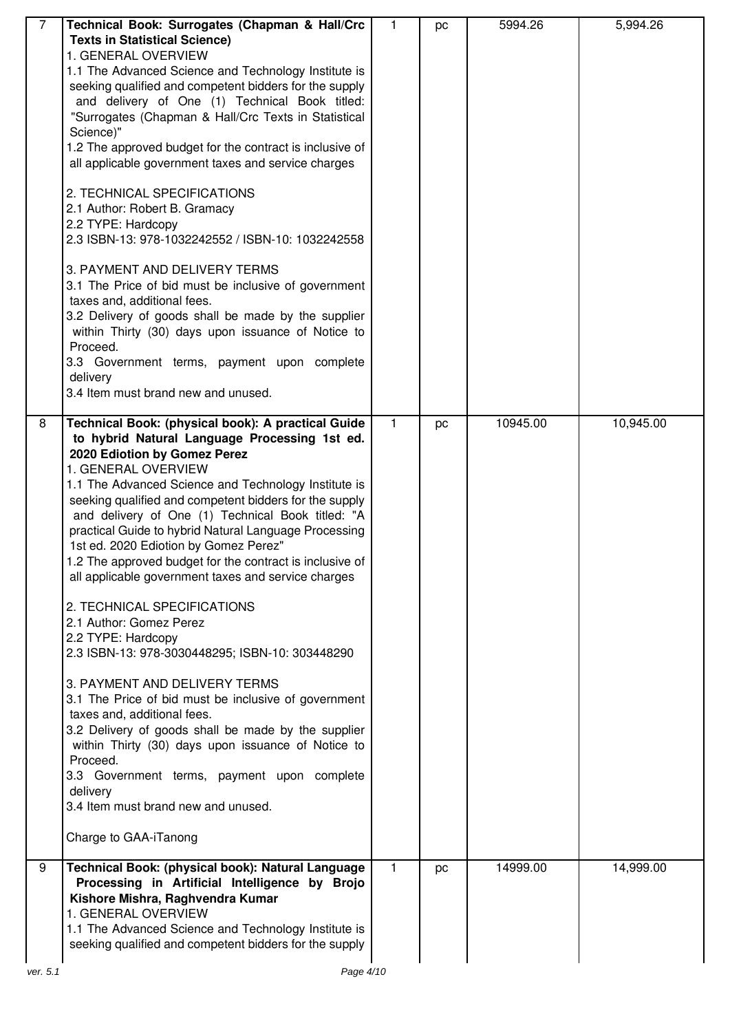| 7        | Technical Book: Surrogates (Chapman & Hall/Crc<br><b>Texts in Statistical Science)</b><br>1. GENERAL OVERVIEW<br>1.1 The Advanced Science and Technology Institute is<br>seeking qualified and competent bidders for the supply<br>and delivery of One (1) Technical Book titled:<br>"Surrogates (Chapman & Hall/Crc Texts in Statistical<br>Science)"<br>1.2 The approved budget for the contract is inclusive of<br>all applicable government taxes and service charges<br>2. TECHNICAL SPECIFICATIONS<br>2.1 Author: Robert B. Gramacy<br>2.2 TYPE: Hardcopy<br>2.3 ISBN-13: 978-1032242552 / ISBN-10: 1032242558<br>3. PAYMENT AND DELIVERY TERMS<br>3.1 The Price of bid must be inclusive of government<br>taxes and, additional fees.<br>3.2 Delivery of goods shall be made by the supplier<br>within Thirty (30) days upon issuance of Notice to<br>Proceed.<br>3.3 Government terms, payment upon complete<br>delivery<br>3.4 Item must brand new and unused.                                                                                               | $\mathbf{1}$ | pc | 5994.26  | 5,994.26  |
|----------|-----------------------------------------------------------------------------------------------------------------------------------------------------------------------------------------------------------------------------------------------------------------------------------------------------------------------------------------------------------------------------------------------------------------------------------------------------------------------------------------------------------------------------------------------------------------------------------------------------------------------------------------------------------------------------------------------------------------------------------------------------------------------------------------------------------------------------------------------------------------------------------------------------------------------------------------------------------------------------------------------------------------------------------------------------------------------|--------------|----|----------|-----------|
| 8        | Technical Book: (physical book): A practical Guide<br>to hybrid Natural Language Processing 1st ed.<br>2020 Ediotion by Gomez Perez<br>1. GENERAL OVERVIEW<br>1.1 The Advanced Science and Technology Institute is<br>seeking qualified and competent bidders for the supply<br>and delivery of One (1) Technical Book titled: "A<br>practical Guide to hybrid Natural Language Processing<br>1st ed. 2020 Ediotion by Gomez Perez"<br>1.2 The approved budget for the contract is inclusive of<br>all applicable government taxes and service charges<br>2. TECHNICAL SPECIFICATIONS<br>2.1 Author: Gomez Perez<br>2.2 TYPE: Hardcopy<br>2.3 ISBN-13: 978-3030448295; ISBN-10: 303448290<br>3. PAYMENT AND DELIVERY TERMS<br>3.1 The Price of bid must be inclusive of government<br>taxes and, additional fees.<br>3.2 Delivery of goods shall be made by the supplier<br>within Thirty (30) days upon issuance of Notice to<br>Proceed.<br>3.3 Government terms, payment upon complete<br>delivery<br>3.4 Item must brand new and unused.<br>Charge to GAA-iTanong | $\mathbf{1}$ | pc | 10945.00 | 10,945.00 |
| 9        | Technical Book: (physical book): Natural Language<br>Processing in Artificial Intelligence by Brojo<br>Kishore Mishra, Raghvendra Kumar<br>1. GENERAL OVERVIEW<br>1.1 The Advanced Science and Technology Institute is<br>seeking qualified and competent bidders for the supply                                                                                                                                                                                                                                                                                                                                                                                                                                                                                                                                                                                                                                                                                                                                                                                      | $\mathbf{1}$ | pc | 14999.00 | 14,999.00 |
| ver. 5.1 | Page 4/10                                                                                                                                                                                                                                                                                                                                                                                                                                                                                                                                                                                                                                                                                                                                                                                                                                                                                                                                                                                                                                                             |              |    |          |           |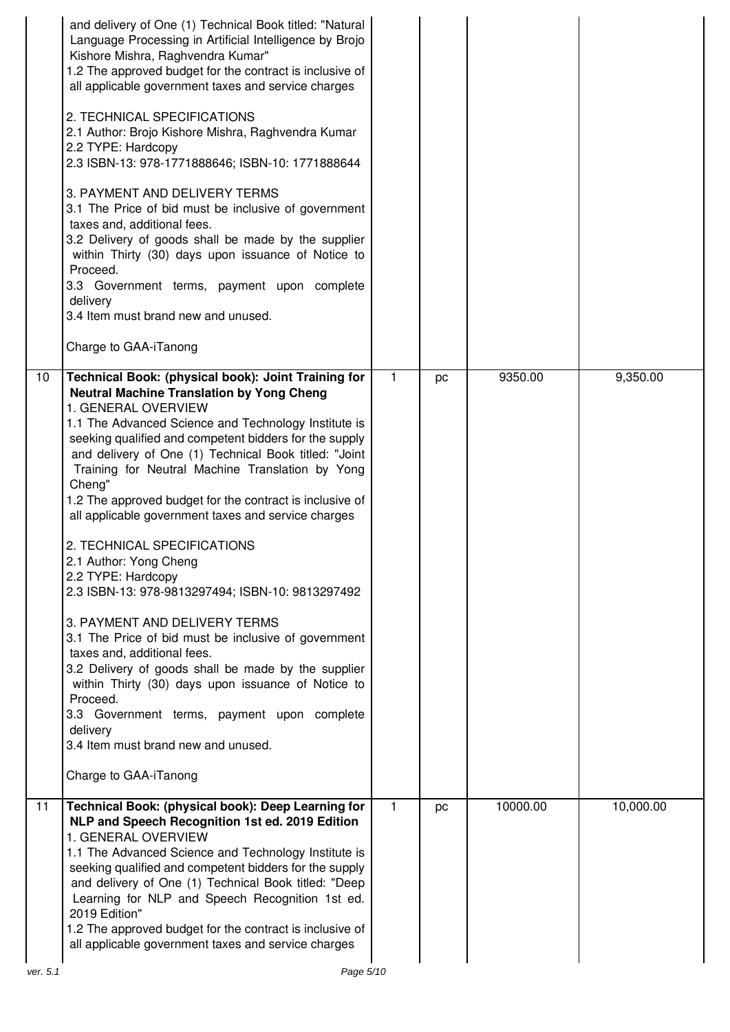|          | and delivery of One (1) Technical Book titled: "Natural<br>Language Processing in Artificial Intelligence by Brojo<br>Kishore Mishra, Raghvendra Kumar"<br>1.2 The approved budget for the contract is inclusive of<br>all applicable government taxes and service charges<br>2. TECHNICAL SPECIFICATIONS<br>2.1 Author: Brojo Kishore Mishra, Raghvendra Kumar<br>2.2 TYPE: Hardcopy<br>2.3 ISBN-13: 978-1771888646; ISBN-10: 1771888644<br>3. PAYMENT AND DELIVERY TERMS<br>3.1 The Price of bid must be inclusive of government<br>taxes and, additional fees.<br>3.2 Delivery of goods shall be made by the supplier<br>within Thirty (30) days upon issuance of Notice to<br>Proceed.<br>3.3 Government terms, payment upon complete<br>delivery<br>3.4 Item must brand new and unused.<br>Charge to GAA-iTanong                                                                                                                                                                                     |    |    |          |           |  |
|----------|-----------------------------------------------------------------------------------------------------------------------------------------------------------------------------------------------------------------------------------------------------------------------------------------------------------------------------------------------------------------------------------------------------------------------------------------------------------------------------------------------------------------------------------------------------------------------------------------------------------------------------------------------------------------------------------------------------------------------------------------------------------------------------------------------------------------------------------------------------------------------------------------------------------------------------------------------------------------------------------------------------------|----|----|----------|-----------|--|
| 10       | Technical Book: (physical book): Joint Training for<br><b>Neutral Machine Translation by Yong Cheng</b><br>1. GENERAL OVERVIEW<br>1.1 The Advanced Science and Technology Institute is<br>seeking qualified and competent bidders for the supply<br>and delivery of One (1) Technical Book titled: "Joint<br>Training for Neutral Machine Translation by Yong<br>Cheng"<br>1.2 The approved budget for the contract is inclusive of<br>all applicable government taxes and service charges<br>2. TECHNICAL SPECIFICATIONS<br>2.1 Author: Yong Cheng<br>2.2 TYPE: Hardcopy<br>2.3 ISBN-13: 978-9813297494; ISBN-10: 9813297492<br>3. PAYMENT AND DELIVERY TERMS<br>3.1 The Price of bid must be inclusive of government<br>taxes and, additional fees.<br>3.2 Delivery of goods shall be made by the supplier<br>within Thirty (30) days upon issuance of Notice to<br>Proceed.<br>3.3 Government terms, payment upon complete<br>delivery<br>3.4 Item must brand new and unused.<br>Charge to GAA-iTanong | 1. | pc | 9350.00  | 9,350.00  |  |
| 11       | Technical Book: (physical book): Deep Learning for<br>NLP and Speech Recognition 1st ed. 2019 Edition<br>1. GENERAL OVERVIEW<br>1.1 The Advanced Science and Technology Institute is<br>seeking qualified and competent bidders for the supply<br>and delivery of One (1) Technical Book titled: "Deep<br>Learning for NLP and Speech Recognition 1st ed.<br>2019 Edition"<br>1.2 The approved budget for the contract is inclusive of<br>all applicable government taxes and service charges                                                                                                                                                                                                                                                                                                                                                                                                                                                                                                             | 1. | pc | 10000.00 | 10,000.00 |  |
| ver. 5.1 | Page 5/10                                                                                                                                                                                                                                                                                                                                                                                                                                                                                                                                                                                                                                                                                                                                                                                                                                                                                                                                                                                                 |    |    |          |           |  |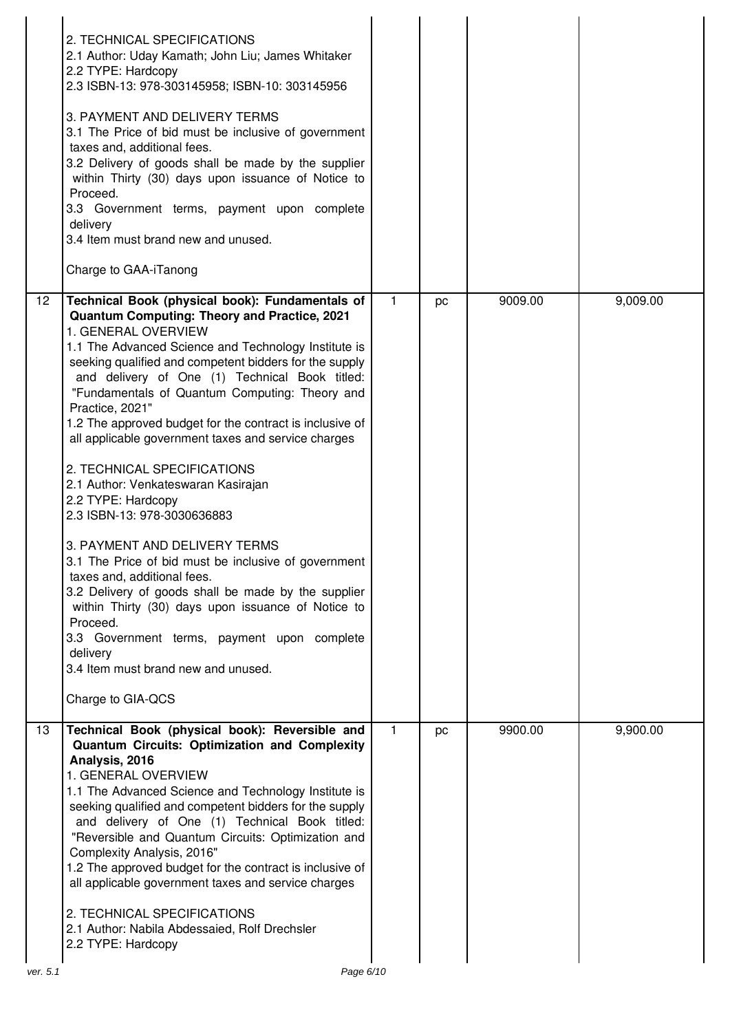|                 | 2. TECHNICAL SPECIFICATIONS<br>2.1 Author: Uday Kamath; John Liu; James Whitaker<br>2.2 TYPE: Hardcopy<br>2.3 ISBN-13: 978-303145958; ISBN-10: 303145956<br>3. PAYMENT AND DELIVERY TERMS<br>3.1 The Price of bid must be inclusive of government<br>taxes and, additional fees.<br>3.2 Delivery of goods shall be made by the supplier<br>within Thirty (30) days upon issuance of Notice to<br>Proceed.<br>3.3 Government terms, payment upon complete<br>delivery<br>3.4 Item must brand new and unused.<br>Charge to GAA-iTanong                                                                                                                                                                                                                                                                                                                                                                                                                                                  |                |    |         |          |
|-----------------|---------------------------------------------------------------------------------------------------------------------------------------------------------------------------------------------------------------------------------------------------------------------------------------------------------------------------------------------------------------------------------------------------------------------------------------------------------------------------------------------------------------------------------------------------------------------------------------------------------------------------------------------------------------------------------------------------------------------------------------------------------------------------------------------------------------------------------------------------------------------------------------------------------------------------------------------------------------------------------------|----------------|----|---------|----------|
| $\overline{12}$ | Technical Book (physical book): Fundamentals of<br>Quantum Computing: Theory and Practice, 2021<br>1. GENERAL OVERVIEW<br>1.1 The Advanced Science and Technology Institute is<br>seeking qualified and competent bidders for the supply<br>and delivery of One (1) Technical Book titled:<br>"Fundamentals of Quantum Computing: Theory and<br>Practice, 2021"<br>1.2 The approved budget for the contract is inclusive of<br>all applicable government taxes and service charges<br>2. TECHNICAL SPECIFICATIONS<br>2.1 Author: Venkateswaran Kasirajan<br>2.2 TYPE: Hardcopy<br>2.3 ISBN-13: 978-3030636883<br>3. PAYMENT AND DELIVERY TERMS<br>3.1 The Price of bid must be inclusive of government<br>taxes and, additional fees.<br>3.2 Delivery of goods shall be made by the supplier<br>within Thirty (30) days upon issuance of Notice to<br>Proceed.<br>3.3 Government terms, payment upon complete<br>delivery<br>3.4 Item must brand new and unused.<br>Charge to GIA-QCS | $\overline{1}$ | pc | 9009.00 | 9,009.00 |
| 13              | Technical Book (physical book): Reversible and<br>Quantum Circuits: Optimization and Complexity<br>Analysis, 2016<br>1. GENERAL OVERVIEW<br>1.1 The Advanced Science and Technology Institute is<br>seeking qualified and competent bidders for the supply<br>and delivery of One (1) Technical Book titled:<br>"Reversible and Quantum Circuits: Optimization and<br>Complexity Analysis, 2016"<br>1.2 The approved budget for the contract is inclusive of<br>all applicable government taxes and service charges<br>2. TECHNICAL SPECIFICATIONS<br>2.1 Author: Nabila Abdessaied, Rolf Drechsler<br>2.2 TYPE: Hardcopy                                                                                                                                                                                                                                                                                                                                                             | $\mathbf{1}$   | pc | 9900.00 | 9,900.00 |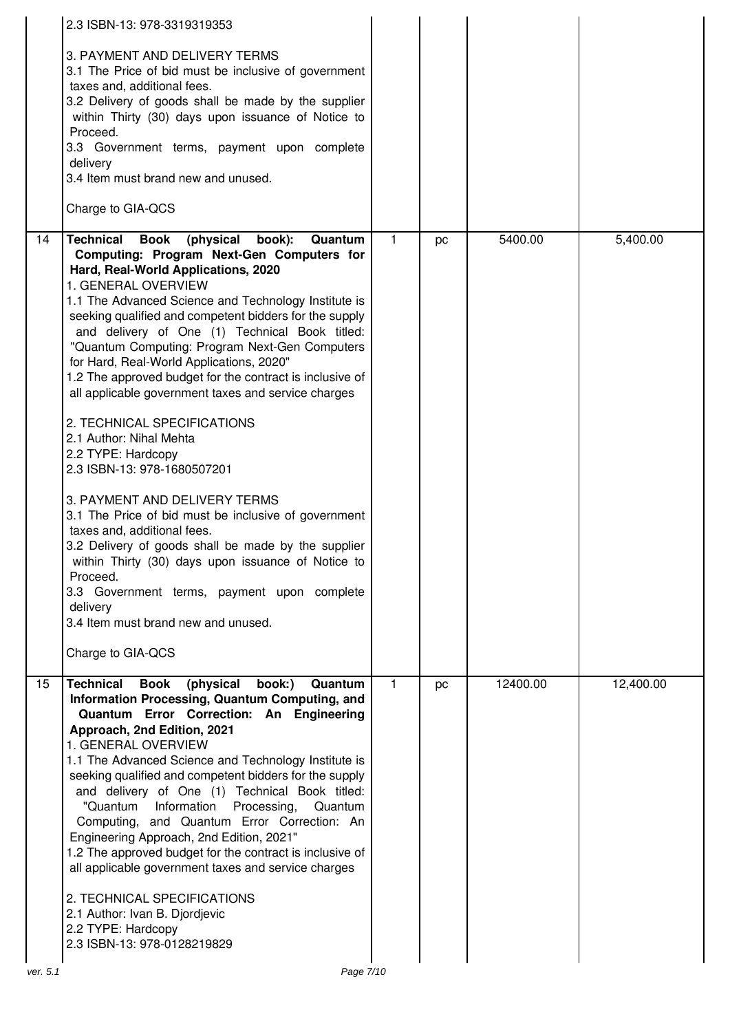|    | 2.3 ISBN-13: 978-3319319353                                                                                                                                                                                                                                                                                                                                                                                                                                                                                                                                                                                                                                                                                                                                                                                                                                                                                                                                                                                                         |              |    |          |           |
|----|-------------------------------------------------------------------------------------------------------------------------------------------------------------------------------------------------------------------------------------------------------------------------------------------------------------------------------------------------------------------------------------------------------------------------------------------------------------------------------------------------------------------------------------------------------------------------------------------------------------------------------------------------------------------------------------------------------------------------------------------------------------------------------------------------------------------------------------------------------------------------------------------------------------------------------------------------------------------------------------------------------------------------------------|--------------|----|----------|-----------|
|    | 3. PAYMENT AND DELIVERY TERMS<br>3.1 The Price of bid must be inclusive of government<br>taxes and, additional fees.<br>3.2 Delivery of goods shall be made by the supplier<br>within Thirty (30) days upon issuance of Notice to<br>Proceed.<br>3.3 Government terms, payment upon complete<br>delivery<br>3.4 Item must brand new and unused.<br>Charge to GIA-QCS                                                                                                                                                                                                                                                                                                                                                                                                                                                                                                                                                                                                                                                                |              |    |          |           |
| 14 | <b>Technical</b><br><b>Book</b><br>(physical<br>book):<br>Quantum<br>Computing: Program Next-Gen Computers for<br>Hard, Real-World Applications, 2020<br>1. GENERAL OVERVIEW<br>1.1 The Advanced Science and Technology Institute is<br>seeking qualified and competent bidders for the supply<br>and delivery of One (1) Technical Book titled:<br>"Quantum Computing: Program Next-Gen Computers<br>for Hard, Real-World Applications, 2020"<br>1.2 The approved budget for the contract is inclusive of<br>all applicable government taxes and service charges<br>2. TECHNICAL SPECIFICATIONS<br>2.1 Author: Nihal Mehta<br>2.2 TYPE: Hardcopy<br>2.3 ISBN-13: 978-1680507201<br>3. PAYMENT AND DELIVERY TERMS<br>3.1 The Price of bid must be inclusive of government<br>taxes and, additional fees.<br>3.2 Delivery of goods shall be made by the supplier<br>within Thirty (30) days upon issuance of Notice to<br>Proceed.<br>3.3 Government terms, payment upon complete<br>delivery<br>3.4 Item must brand new and unused. | $\mathbf{1}$ | pc | 5400.00  | 5,400.00  |
|    | Charge to GIA-QCS                                                                                                                                                                                                                                                                                                                                                                                                                                                                                                                                                                                                                                                                                                                                                                                                                                                                                                                                                                                                                   |              |    |          |           |
| 15 | (physical<br><b>Technical</b><br><b>Book</b><br>book:)<br>Quantum<br>Information Processing, Quantum Computing, and<br>Quantum Error Correction: An Engineering<br>Approach, 2nd Edition, 2021<br>1. GENERAL OVERVIEW<br>1.1 The Advanced Science and Technology Institute is<br>seeking qualified and competent bidders for the supply<br>and delivery of One (1) Technical Book titled:<br>"Quantum Information Processing,<br>Quantum<br>Computing, and Quantum Error Correction: An<br>Engineering Approach, 2nd Edition, 2021"<br>1.2 The approved budget for the contract is inclusive of<br>all applicable government taxes and service charges<br>2. TECHNICAL SPECIFICATIONS<br>2.1 Author: Ivan B. Djordjevic<br>2.2 TYPE: Hardcopy<br>2.3 ISBN-13: 978-0128219829                                                                                                                                                                                                                                                        | $\mathbf{1}$ | pc | 12400.00 | 12,400.00 |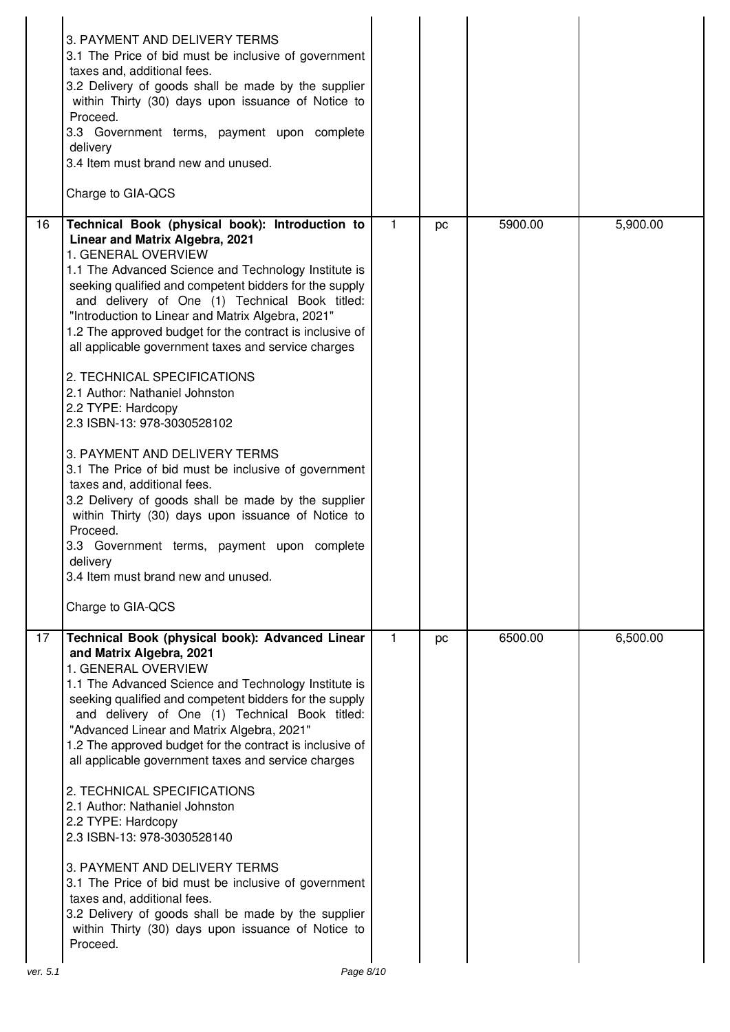|                | 3. PAYMENT AND DELIVERY TERMS<br>3.1 The Price of bid must be inclusive of government<br>taxes and, additional fees.<br>3.2 Delivery of goods shall be made by the supplier<br>within Thirty (30) days upon issuance of Notice to<br>Proceed.<br>3.3 Government terms, payment upon complete<br>delivery<br>3.4 Item must brand new and unused.<br>Charge to GIA-QCS                                                                                                                                                                                                                                                                                                                                                                                                                                                                                                                                                                                |             |    |         |          |
|----------------|-----------------------------------------------------------------------------------------------------------------------------------------------------------------------------------------------------------------------------------------------------------------------------------------------------------------------------------------------------------------------------------------------------------------------------------------------------------------------------------------------------------------------------------------------------------------------------------------------------------------------------------------------------------------------------------------------------------------------------------------------------------------------------------------------------------------------------------------------------------------------------------------------------------------------------------------------------|-------------|----|---------|----------|
| 16             | Technical Book (physical book): Introduction to<br>Linear and Matrix Algebra, 2021<br>1. GENERAL OVERVIEW<br>1.1 The Advanced Science and Technology Institute is<br>seeking qualified and competent bidders for the supply<br>and delivery of One (1) Technical Book titled:<br>"Introduction to Linear and Matrix Algebra, 2021"<br>1.2 The approved budget for the contract is inclusive of<br>all applicable government taxes and service charges<br>2. TECHNICAL SPECIFICATIONS<br>2.1 Author: Nathaniel Johnston<br>2.2 TYPE: Hardcopy<br>2.3 ISBN-13: 978-3030528102<br>3. PAYMENT AND DELIVERY TERMS<br>3.1 The Price of bid must be inclusive of government<br>taxes and, additional fees.<br>3.2 Delivery of goods shall be made by the supplier<br>within Thirty (30) days upon issuance of Notice to<br>Proceed.<br>3.3 Government terms, payment upon complete<br>delivery<br>3.4 Item must brand new and unused.<br>Charge to GIA-QCS | 1           | pc | 5900.00 | 5,900.00 |
| 17<br>ver. 5.1 | Technical Book (physical book): Advanced Linear<br>and Matrix Algebra, 2021<br>1. GENERAL OVERVIEW<br>1.1 The Advanced Science and Technology Institute is<br>seeking qualified and competent bidders for the supply<br>and delivery of One (1) Technical Book titled:<br>"Advanced Linear and Matrix Algebra, 2021"<br>1.2 The approved budget for the contract is inclusive of<br>all applicable government taxes and service charges<br>2. TECHNICAL SPECIFICATIONS<br>2.1 Author: Nathaniel Johnston<br>2.2 TYPE: Hardcopy<br>2.3 ISBN-13: 978-3030528140<br>3. PAYMENT AND DELIVERY TERMS<br>3.1 The Price of bid must be inclusive of government<br>taxes and, additional fees.<br>3.2 Delivery of goods shall be made by the supplier<br>within Thirty (30) days upon issuance of Notice to<br>Proceed.<br>Page 8/10                                                                                                                         | $\mathbf 1$ | pc | 6500.00 | 6,500.00 |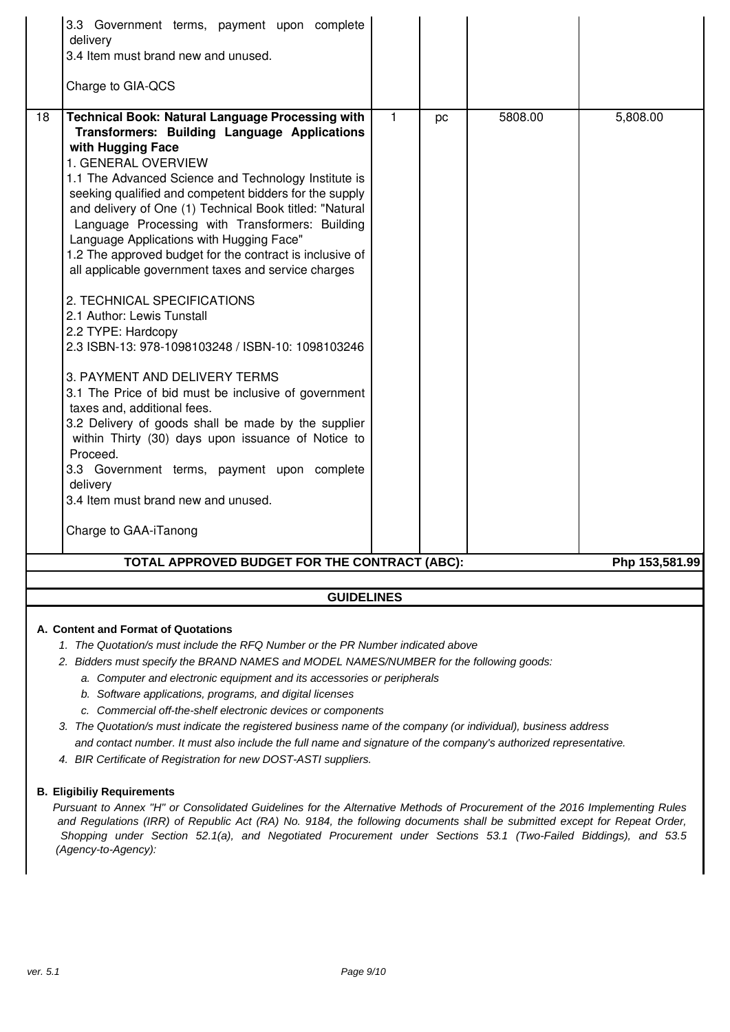|    | 3.3 Government terms, payment upon complete<br>delivery<br>3.4 Item must brand new and unused.<br>Charge to GIA-QCS |              |    |         |                |  |
|----|---------------------------------------------------------------------------------------------------------------------|--------------|----|---------|----------------|--|
|    |                                                                                                                     |              |    |         |                |  |
| 18 | <b>Technical Book: Natural Language Processing with</b><br>Transformers: Building Language Applications             | $\mathbf{1}$ | pc | 5808.00 | 5,808.00       |  |
|    | with Hugging Face                                                                                                   |              |    |         |                |  |
|    | 1. GENERAL OVERVIEW                                                                                                 |              |    |         |                |  |
|    | 1.1 The Advanced Science and Technology Institute is                                                                |              |    |         |                |  |
|    | seeking qualified and competent bidders for the supply                                                              |              |    |         |                |  |
|    | and delivery of One (1) Technical Book titled: "Natural                                                             |              |    |         |                |  |
|    | Language Processing with Transformers: Building                                                                     |              |    |         |                |  |
|    | Language Applications with Hugging Face"<br>1.2 The approved budget for the contract is inclusive of                |              |    |         |                |  |
|    | all applicable government taxes and service charges                                                                 |              |    |         |                |  |
|    |                                                                                                                     |              |    |         |                |  |
|    | 2. TECHNICAL SPECIFICATIONS                                                                                         |              |    |         |                |  |
|    | 2.1 Author: Lewis Tunstall                                                                                          |              |    |         |                |  |
|    | 2.2 TYPE: Hardcopy                                                                                                  |              |    |         |                |  |
|    | 2.3 ISBN-13: 978-1098103248 / ISBN-10: 1098103246                                                                   |              |    |         |                |  |
|    | 3. PAYMENT AND DELIVERY TERMS                                                                                       |              |    |         |                |  |
|    | 3.1 The Price of bid must be inclusive of government                                                                |              |    |         |                |  |
|    | taxes and, additional fees.                                                                                         |              |    |         |                |  |
|    | 3.2 Delivery of goods shall be made by the supplier                                                                 |              |    |         |                |  |
|    | within Thirty (30) days upon issuance of Notice to                                                                  |              |    |         |                |  |
|    | Proceed.                                                                                                            |              |    |         |                |  |
|    | 3.3 Government terms, payment upon complete<br>delivery                                                             |              |    |         |                |  |
|    | 3.4 Item must brand new and unused.                                                                                 |              |    |         |                |  |
|    |                                                                                                                     |              |    |         |                |  |
|    | Charge to GAA-iTanong                                                                                               |              |    |         |                |  |
|    | TOTAL APPROVED BUDGET FOR THE CONTRACT (ABC):                                                                       |              |    |         | Php 153,581.99 |  |
|    |                                                                                                                     |              |    |         |                |  |
|    | <b>GUIDELINES</b>                                                                                                   |              |    |         |                |  |
|    |                                                                                                                     |              |    |         |                |  |
|    | A. Content and Format of Quotations                                                                                 |              |    |         |                |  |

- 1. The Quotation/s must include the RFQ Number or the PR Number indicated above
- 2. Bidders must specify the BRAND NAMES and MODEL NAMES/NUMBER for the following goods:
	- a. Computer and electronic equipment and its accessories or peripherals
	- b. Software applications, programs, and digital licenses
	- c. Commercial off-the-shelf electronic devices or components
- 3. The Quotation/s must indicate the registered business name of the company (or individual), business address and contact number. It must also include the full name and signature of the company's authorized representative.
- 4. BIR Certificate of Registration for new DOST-ASTI suppliers.

#### **B. Eligibiliy Requirements**

Pursuant to Annex "H" or Consolidated Guidelines for the Alternative Methods of Procurement of the 2016 Implementing Rules and Regulations (IRR) of Republic Act (RA) No. 9184, the following documents shall be submitted except for Repeat Order, Shopping under Section 52.1(a), and Negotiated Procurement under Sections 53.1 (Two-Failed Biddings), and 53.5 (Agency-to-Agency):